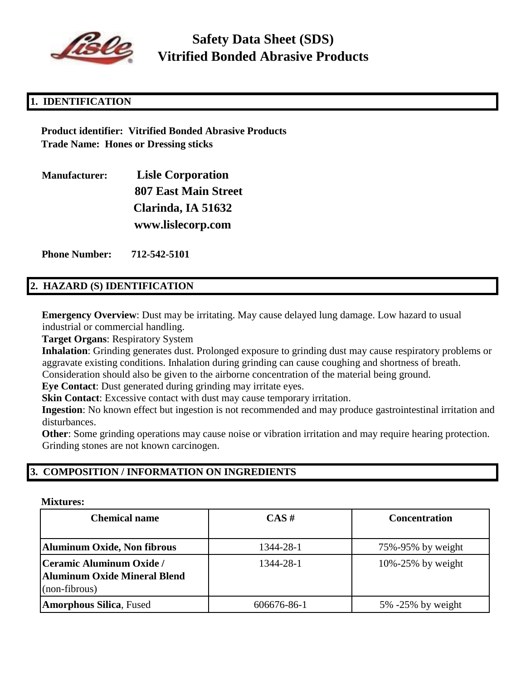

# **Safety Data Sheet (SDS) Vitrified Bonded Abrasive Products**

# **1. IDENTIFICATION**

**Product identifier: Vitrified Bonded Abrasive Products Trade Name: Hones or Dressing sticks**

| <b>Manufacturer:</b> | <b>Lisle Corporation</b>    |  |
|----------------------|-----------------------------|--|
|                      | <b>807 East Main Street</b> |  |
|                      | Clarinda, IA 51632          |  |
|                      | www.lislecorp.com           |  |

**Phone Number: 712-542-5101**

#### **2. HAZARD (S) IDENTIFICATION**

**Emergency Overview**: Dust may be irritating. May cause delayed lung damage. Low hazard to usual industrial or commercial handling.

**Target Organs**: Respiratory System

**Inhalation**: Grinding generates dust. Prolonged exposure to grinding dust may cause respiratory problems or aggravate existing conditions. Inhalation during grinding can cause coughing and shortness of breath.

Consideration should also be given to the airborne concentration of the material being ground.

**Eye Contact**: Dust generated during grinding may irritate eyes.

**Skin Contact:** Excessive contact with dust may cause temporary irritation.

**Ingestion**: No known effect but ingestion is not recommended and may produce gastrointestinal irritation and disturbances.

**Other:** Some grinding operations may cause noise or vibration irritation and may require hearing protection. Grinding stones are not known carcinogen.

#### **3. COMPOSITION / INFORMATION ON INGREDIENTS**

#### **Mixtures:**

| <b>Chemical name</b>                                                      | $CAS \#$    | <b>Concentration</b>    |
|---------------------------------------------------------------------------|-------------|-------------------------|
| Aluminum Oxide, Non fibrous                                               | 1344-28-1   | 75%-95% by weight       |
| Ceramic Aluminum Oxide /<br>Aluminum Oxide Mineral Blend<br>(non-fibrous) | 1344-28-1   | $10\% - 25\%$ by weight |
| <b>Amorphous Silica, Fused</b>                                            | 606676-86-1 | $5\%$ -25% by weight    |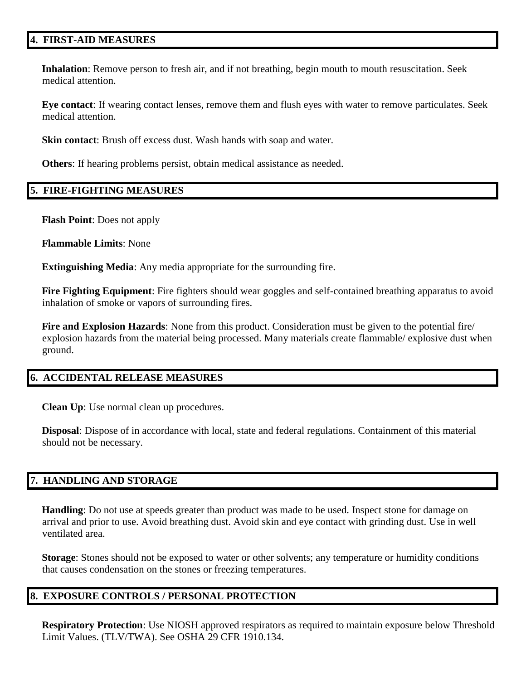#### **4. FIRST-AID MEASURES**

**Inhalation**: Remove person to fresh air, and if not breathing, begin mouth to mouth resuscitation. Seek medical attention.

**Eye contact**: If wearing contact lenses, remove them and flush eyes with water to remove particulates. Seek medical attention.

**Skin contact**: Brush off excess dust. Wash hands with soap and water.

**Others**: If hearing problems persist, obtain medical assistance as needed.

#### **5. FIRE-FIGHTING MEASURES**

**Flash Point**: Does not apply

**Flammable Limits**: None

**Extinguishing Media**: Any media appropriate for the surrounding fire.

**Fire Fighting Equipment**: Fire fighters should wear goggles and self-contained breathing apparatus to avoid inhalation of smoke or vapors of surrounding fires.

**Fire and Explosion Hazards**: None from this product. Consideration must be given to the potential fire/ explosion hazards from the material being processed. Many materials create flammable/ explosive dust when ground.

#### **6. ACCIDENTAL RELEASE MEASURES**

**Clean Up**: Use normal clean up procedures.

**Disposal**: Dispose of in accordance with local, state and federal regulations. Containment of this material should not be necessary.

#### **7. HANDLING AND STORAGE**

**Handling**: Do not use at speeds greater than product was made to be used. Inspect stone for damage on arrival and prior to use. Avoid breathing dust. Avoid skin and eye contact with grinding dust. Use in well ventilated area.

**Storage**: Stones should not be exposed to water or other solvents; any temperature or humidity conditions that causes condensation on the stones or freezing temperatures.

#### **8. EXPOSURE CONTROLS / PERSONAL PROTECTION**

**Respiratory Protection**: Use NIOSH approved respirators as required to maintain exposure below Threshold Limit Values. (TLV/TWA). See OSHA 29 CFR 1910.134.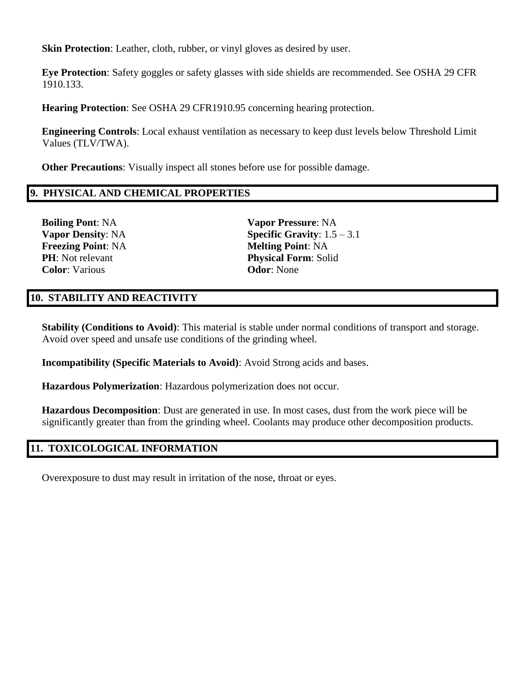**Skin Protection**: Leather, cloth, rubber, or vinyl gloves as desired by user.

**Eye Protection**: Safety goggles or safety glasses with side shields are recommended. See OSHA 29 CFR 1910.133.

**Hearing Protection**: See OSHA 29 CFR1910.95 concerning hearing protection.

**Engineering Controls**: Local exhaust ventilation as necessary to keep dust levels below Threshold Limit Values (TLV/TWA).

**Other Precautions**: Visually inspect all stones before use for possible damage.

#### **9. PHYSICAL AND CHEMICAL PROPERTIES**

**Freezing Point: NA Melting Point: NA Color**: Various **Odor**: None

**Boiling Pont**: NA **Vapor Pressure**: NA **Vapor Density**: NA **Specific Gravity**: 1.5 – 3.1 **PH**: Not relevant **Physical Form**: Solid

## **10. STABILITY AND REACTIVITY**

**Stability (Conditions to Avoid)**: This material is stable under normal conditions of transport and storage. Avoid over speed and unsafe use conditions of the grinding wheel.

**Incompatibility (Specific Materials to Avoid)**: Avoid Strong acids and bases.

**Hazardous Polymerization**: Hazardous polymerization does not occur.

**Hazardous Decomposition**: Dust are generated in use. In most cases, dust from the work piece will be significantly greater than from the grinding wheel. Coolants may produce other decomposition products.

#### **11. TOXICOLOGICAL INFORMATION**

Overexposure to dust may result in irritation of the nose, throat or eyes.